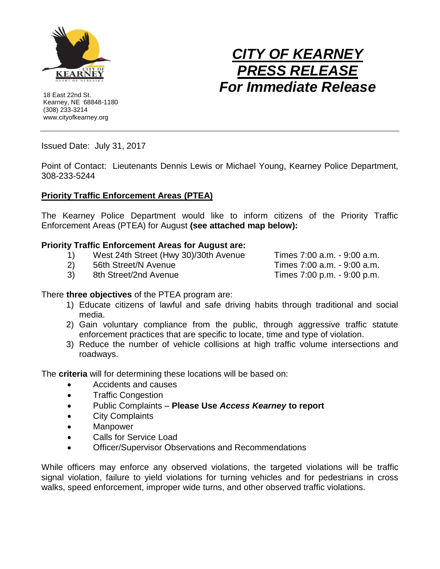



18 East 22nd St. Kearney, NE 68848-1180 (308) 233-3214 www.cityofkearney.org

Issued Date: July 31, 2017

Point of Contact: Lieutenants Dennis Lewis or Michael Young, Kearney Police Department, 308-233-5244

## **Priority Traffic Enforcement Areas (PTEA)**

The Kearney Police Department would like to inform citizens of the Priority Traffic Enforcement Areas (PTEA) for August **(see attached map below):**

## **Priority Traffic Enforcement Areas for August are:**

- 1) West 24th Street (Hwy 30)/30th Avenue Times 7:00 a.m. 9:00 a.m.
- 2) 56th Street/N Avenue Times 7:00 a.m. 9:00 a.m.

3) 8th Street/2nd Avenue Times 7:00 p.m. - 9:00 p.m.

There **three objectives** of the PTEA program are:

- 1) Educate citizens of lawful and safe driving habits through traditional and social media.
- 2) Gain voluntary compliance from the public, through aggressive traffic statute enforcement practices that are specific to locate, time and type of violation.
- 3) Reduce the number of vehicle collisions at high traffic volume intersections and roadways.

The **criteria** will for determining these locations will be based on:

- Accidents and causes
- Traffic Congestion
- Public Complaints **Please Use** *Access Kearney* **to report**
- City Complaints
- Manpower
- Calls for Service Load
- Officer/Supervisor Observations and Recommendations

While officers may enforce any observed violations, the targeted violations will be traffic signal violation, failure to yield violations for turning vehicles and for pedestrians in cross walks, speed enforcement, improper wide turns, and other observed traffic violations.